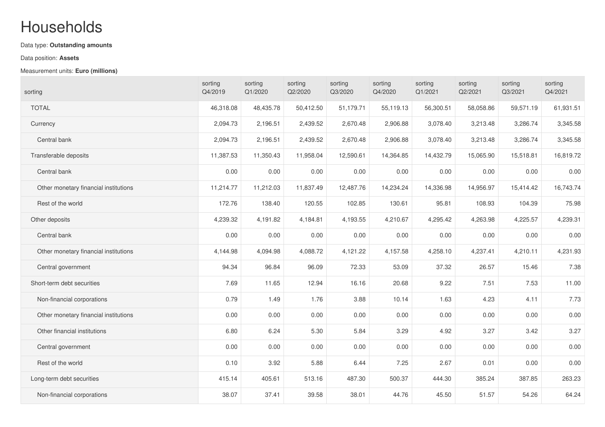## Households

## Data type: **Outstanding amounts**

## Data position: **Assets**

## Measurement units: **Euro (millions)**

| sorting                               | sorting<br>Q4/2019 | sorting<br>Q1/2020 | sorting<br>Q2/2020 | sorting<br>Q3/2020 | sorting<br>Q4/2020 | sorting<br>Q1/2021 | sorting<br>Q2/2021 | sorting<br>Q3/2021 | sorting<br>Q4/2021 |
|---------------------------------------|--------------------|--------------------|--------------------|--------------------|--------------------|--------------------|--------------------|--------------------|--------------------|
| <b>TOTAL</b>                          | 46,318.08          | 48,435.78          | 50,412.50          | 51,179.71          | 55,119.13          | 56,300.51          | 58,058.86          | 59,571.19          | 61,931.51          |
| Currency                              | 2,094.73           | 2,196.51           | 2,439.52           | 2,670.48           | 2,906.88           | 3,078.40           | 3,213.48           | 3,286.74           | 3,345.58           |
| Central bank                          | 2,094.73           | 2,196.51           | 2,439.52           | 2,670.48           | 2,906.88           | 3,078.40           | 3,213.48           | 3,286.74           | 3,345.58           |
| Transferable deposits                 | 11,387.53          | 11,350.43          | 11,958.04          | 12,590.61          | 14,364.85          | 14,432.79          | 15,065.90          | 15,518.81          | 16,819.72          |
| Central bank                          | 0.00               | 0.00               | 0.00               | 0.00               | 0.00               | 0.00               | 0.00               | 0.00               | 0.00               |
| Other monetary financial institutions | 11,214.77          | 11,212.03          | 11,837.49          | 12,487.76          | 14,234.24          | 14,336.98          | 14,956.97          | 15,414.42          | 16,743.74          |
| Rest of the world                     | 172.76             | 138.40             | 120.55             | 102.85             | 130.61             | 95.81              | 108.93             | 104.39             | 75.98              |
| Other deposits                        | 4,239.32           | 4,191.82           | 4,184.81           | 4,193.55           | 4,210.67           | 4,295.42           | 4,263.98           | 4,225.57           | 4,239.31           |
| Central bank                          | 0.00               | 0.00               | 0.00               | 0.00               | 0.00               | 0.00               | 0.00               | 0.00               | 0.00               |
| Other monetary financial institutions | 4,144.98           | 4,094.98           | 4,088.72           | 4,121.22           | 4,157.58           | 4,258.10           | 4,237.41           | 4,210.11           | 4,231.93           |
| Central government                    | 94.34              | 96.84              | 96.09              | 72.33              | 53.09              | 37.32              | 26.57              | 15.46              | 7.38               |
| Short-term debt securities            | 7.69               | 11.65              | 12.94              | 16.16              | 20.68              | 9.22               | 7.51               | 7.53               | 11.00              |
| Non-financial corporations            | 0.79               | 1.49               | 1.76               | 3.88               | 10.14              | 1.63               | 4.23               | 4.11               | 7.73               |
| Other monetary financial institutions | 0.00               | 0.00               | 0.00               | 0.00               | 0.00               | 0.00               | 0.00               | 0.00               | 0.00               |
| Other financial institutions          | 6.80               | 6.24               | 5.30               | 5.84               | 3.29               | 4.92               | 3.27               | 3.42               | 3.27               |
| Central government                    | 0.00               | 0.00               | 0.00               | 0.00               | 0.00               | 0.00               | 0.00               | 0.00               | 0.00               |
| Rest of the world                     | 0.10               | 3.92               | 5.88               | 6.44               | 7.25               | 2.67               | 0.01               | 0.00               | 0.00               |
| Long-term debt securities             | 415.14             | 405.61             | 513.16             | 487.30             | 500.37             | 444.30             | 385.24             | 387.85             | 263.23             |
| Non-financial corporations            | 38.07              | 37.41              | 39.58              | 38.01              | 44.76              | 45.50              | 51.57              | 54.26              | 64.24              |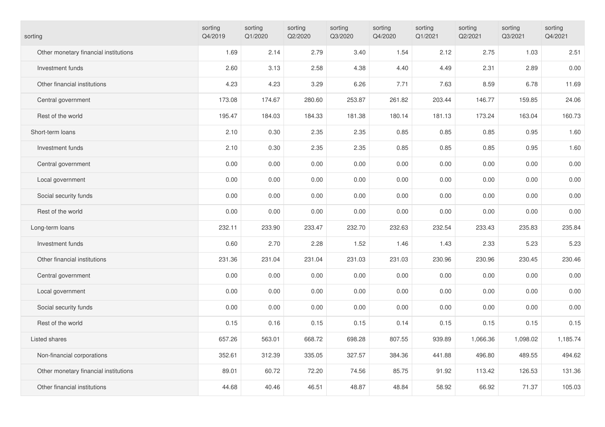| sorting                               | sorting<br>Q4/2019 | sorting<br>Q1/2020 | sorting<br>Q2/2020 | sorting<br>Q3/2020 | sorting<br>Q4/2020 | sorting<br>Q1/2021 | sorting<br>Q2/2021 | sorting<br>Q3/2021 | sorting<br>Q4/2021 |
|---------------------------------------|--------------------|--------------------|--------------------|--------------------|--------------------|--------------------|--------------------|--------------------|--------------------|
| Other monetary financial institutions | 1.69               | 2.14               | 2.79               | 3.40               | 1.54               | 2.12               | 2.75               | 1.03               | 2.51               |
| Investment funds                      | 2.60               | 3.13               | 2.58               | 4.38               | 4.40               | 4.49               | 2.31               | 2.89               | 0.00               |
| Other financial institutions          | 4.23               | 4.23               | 3.29               | 6.26               | 7.71               | 7.63               | 8.59               | 6.78               | 11.69              |
| Central government                    | 173.08             | 174.67             | 280.60             | 253.87             | 261.82             | 203.44             | 146.77             | 159.85             | 24.06              |
| Rest of the world                     | 195.47             | 184.03             | 184.33             | 181.38             | 180.14             | 181.13             | 173.24             | 163.04             | 160.73             |
| Short-term loans                      | 2.10               | 0.30               | 2.35               | 2.35               | 0.85               | 0.85               | 0.85               | 0.95               | 1.60               |
| Investment funds                      | 2.10               | 0.30               | 2.35               | 2.35               | 0.85               | 0.85               | 0.85               | 0.95               | 1.60               |
| Central government                    | 0.00               | 0.00               | 0.00               | 0.00               | 0.00               | 0.00               | 0.00               | 0.00               | 0.00               |
| Local government                      | 0.00               | 0.00               | 0.00               | 0.00               | 0.00               | 0.00               | 0.00               | 0.00               | 0.00               |
| Social security funds                 | 0.00               | 0.00               | 0.00               | 0.00               | 0.00               | 0.00               | 0.00               | 0.00               | 0.00               |
| Rest of the world                     | 0.00               | 0.00               | 0.00               | 0.00               | 0.00               | 0.00               | 0.00               | 0.00               | 0.00               |
| Long-term loans                       | 232.11             | 233.90             | 233.47             | 232.70             | 232.63             | 232.54             | 233.43             | 235.83             | 235.84             |
| Investment funds                      | 0.60               | 2.70               | 2.28               | 1.52               | 1.46               | 1.43               | 2.33               | 5.23               | 5.23               |
| Other financial institutions          | 231.36             | 231.04             | 231.04             | 231.03             | 231.03             | 230.96             | 230.96             | 230.45             | 230.46             |
| Central government                    | 0.00               | 0.00               | 0.00               | 0.00               | 0.00               | 0.00               | 0.00               | 0.00               | 0.00               |
| Local government                      | 0.00               | 0.00               | 0.00               | 0.00               | 0.00               | 0.00               | 0.00               | 0.00               | 0.00               |
| Social security funds                 | 0.00               | 0.00               | 0.00               | 0.00               | 0.00               | 0.00               | 0.00               | 0.00               | 0.00               |
| Rest of the world                     | 0.15               | 0.16               | 0.15               | 0.15               | 0.14               | 0.15               | 0.15               | 0.15               | 0.15               |
| Listed shares                         | 657.26             | 563.01             | 668.72             | 698.28             | 807.55             | 939.89             | 1,066.36           | 1,098.02           | 1,185.74           |
| Non-financial corporations            | 352.61             | 312.39             | 335.05             | 327.57             | 384.36             | 441.88             | 496.80             | 489.55             | 494.62             |
| Other monetary financial institutions | 89.01              | 60.72              | 72.20              | 74.56              | 85.75              | 91.92              | 113.42             | 126.53             | 131.36             |
| Other financial institutions          | 44.68              | 40.46              | 46.51              | 48.87              | 48.84              | 58.92              | 66.92              | 71.37              | 105.03             |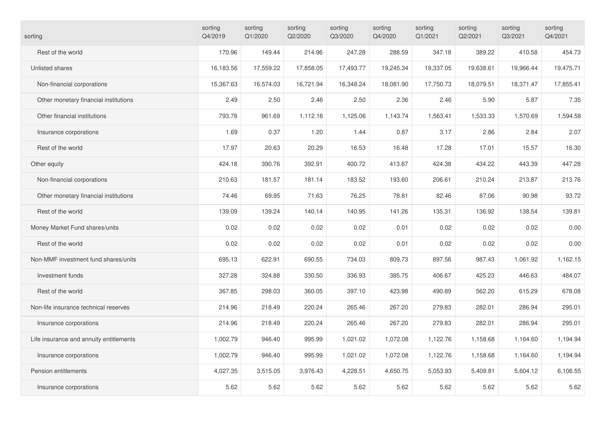| sorting                                 | sorting<br>Q4/2019 | sorting<br>Q1/2020 | sorting<br>Q2/2020 | sorting<br>Q3/2020 | sorting<br>Q4/2020 | sorting<br>Q1/2021 | sorting<br>Q2/2021 | sorting<br>Q3/2021 | sorting<br>Q4/2021 |
|-----------------------------------------|--------------------|--------------------|--------------------|--------------------|--------------------|--------------------|--------------------|--------------------|--------------------|
| Rest of the world                       | 170.96             | 149.44             | 214.96             | 247.28             | 288.59             | 347.18             | 389.22             | 410.58             | 454.73             |
| Unlisted shares                         | 16,183.56          | 17,559.22          | 17,858.05          | 17,493.77          | 19,245.34          | 19,337.05          | 19,638.61          | 19,966.44          | 19,475.71          |
| Non-financial corporations              | 15,367.63          | 16,574.03          | 16,721.94          | 16,348.24          | 18,081.90          | 17,750.73          | 18,079.51          | 18,371.47          | 17,855.41          |
| Other monetary financial institutions   | 2.49               | 2.50               | 2.46               | 2.50               | 2.36               | 2.46               | 5.90               | 5.87               | 7.35               |
| Other financial institutions            | 793.78             | 961.69             | 1,112.16           | 1,125.06           | 1,143.74           | 1,563.41           | 1,533.33           | 1,570.69           | 1,594.58           |
| Insurance corporations                  | 1.69               | 0.37               | 1.20               | 1.44               | 0.87               | 3.17               | 2.86               | 2.84               | 2.07               |
| Rest of the world                       | 17.97              | 20.63              | 20.29              | 16.53              | 16.48              | 17.28              | 17.01              | 15.57              | 16.30              |
| Other equity                            | 424.18             | 390.76             | 392.91             | 400.72             | 413.67             | 424.38             | 434.22             | 443.39             | 447.28             |
| Non-financial corporations              | 210.63             | 181.57             | 181.14             | 183.52             | 193.60             | 206.61             | 210.24             | 213.87             | 213.76             |
| Other monetary financial institutions   | 74.46              | 69.95              | 71.63              | 76.25              | 78.81              | 82.46              | 87.06              | 90.98              | 93.72              |
| Rest of the world                       | 139.09             | 139.24             | 140.14             | 140.95             | 141.26             | 135.31             | 136.92             | 138.54             | 139.81             |
| Money Market Fund shares/units          | 0.02               | 0.02               | 0.02               | 0.02               | 0.01               | 0.02               | 0.02               | 0.02               | 0.00               |
| Rest of the world                       | 0.02               | 0.02               | 0.02               | 0.02               | 0.01               | 0.02               | 0.02               | 0.02               | 0.00               |
| Non-MMF investment fund shares/units    | 695.13             | 622.91             | 690.55             | 734.03             | 809.73             | 897.56             | 987.43             | 1,061.92           | 1,162.15           |
| Investment funds                        | 327.28             | 324.88             | 330.50             | 336.93             | 385.75             | 406.67             | 425.23             | 446.63             | 484.07             |
| Rest of the world                       | 367.85             | 298.03             | 360.05             | 397.10             | 423.98             | 490.89             | 562.20             | 615.29             | 678.08             |
| Non-life insurance technical reserves   | 214.96             | 218.49             | 220.24             | 265.46             | 267.20             | 279.83             | 282.01             | 286.94             | 295.01             |
| Insurance corporations                  | 214.96             | 218.49             | 220.24             | 265.46             | 267.20             | 279.83             | 282.01             | 286.94             | 295.01             |
| Life insurance and annuity entitlements | 1,002.79           | 946.40             | 995.99             | 1,021.02           | 1,072.08           | 1,122.76           | 1,158.68           | 1,164.60           | 1,194.94           |
| Insurance corporations                  | 1,002.79           | 946.40             | 995.99             | 1,021.02           | 1,072.08           | 1,122.76           | 1,158.68           | 1,164.60           | 1,194.94           |
| Pension entitlements                    | 4,027.35           | 3,515.05           | 3,976.43           | 4,228.51           | 4,650.75           | 5,053.93           | 5,409.81           | 5,604.12           | 6,106.55           |
| Insurance corporations                  | 5.62               | 5.62               | 5.62               | 5.62               | 5.62               | 5.62               | 5.62               | 5.62               | 5.62               |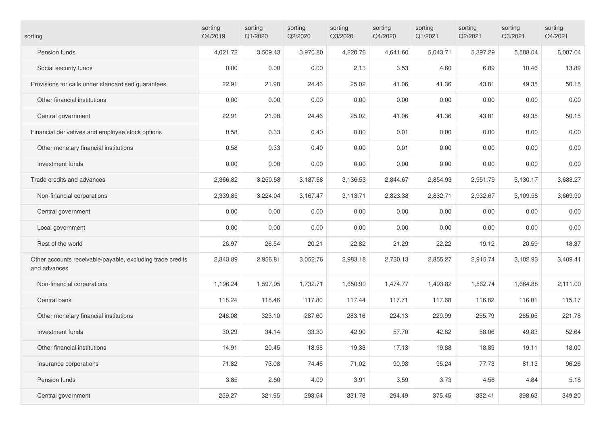| sorting                                                                    | sorting<br>Q4/2019 | sorting<br>Q1/2020 | sorting<br>Q2/2020 | sorting<br>Q3/2020 | sorting<br>Q4/2020 | sorting<br>Q1/2021 | sorting<br>Q2/2021 | sorting<br>Q3/2021 | sorting<br>Q4/2021 |
|----------------------------------------------------------------------------|--------------------|--------------------|--------------------|--------------------|--------------------|--------------------|--------------------|--------------------|--------------------|
| Pension funds                                                              | 4,021.72           | 3,509.43           | 3,970.80           | 4,220.76           | 4,641.60           | 5,043.71           | 5,397.29           | 5,588.04           | 6,087.04           |
| Social security funds                                                      | 0.00               | 0.00               | 0.00               | 2.13               | 3.53               | 4.60               | 6.89               | 10.46              | 13.89              |
| Provisions for calls under standardised guarantees                         | 22.91              | 21.98              | 24.46              | 25.02              | 41.06              | 41.36              | 43.81              | 49.35              | 50.15              |
| Other financial institutions                                               | 0.00               | 0.00               | 0.00               | 0.00               | 0.00               | 0.00               | 0.00               | 0.00               | 0.00               |
| Central government                                                         | 22.91              | 21.98              | 24.46              | 25.02              | 41.06              | 41.36              | 43.81              | 49.35              | 50.15              |
| Financial derivatives and employee stock options                           | 0.58               | 0.33               | 0.40               | 0.00               | 0.01               | 0.00               | 0.00               | 0.00               | 0.00               |
| Other monetary financial institutions                                      | 0.58               | 0.33               | 0.40               | 0.00               | 0.01               | 0.00               | 0.00               | 0.00               | 0.00               |
| Investment funds                                                           | 0.00               | 0.00               | 0.00               | 0.00               | 0.00               | 0.00               | 0.00               | 0.00               | 0.00               |
| Trade credits and advances                                                 | 2,366.82           | 3,250.58           | 3,187.68           | 3,136.53           | 2,844.67           | 2,854.93           | 2,951.79           | 3,130.17           | 3,688.27           |
| Non-financial corporations                                                 | 2,339.85           | 3,224.04           | 3,167.47           | 3,113.71           | 2,823.38           | 2,832.71           | 2,932.67           | 3,109.58           | 3,669.90           |
| Central government                                                         | 0.00               | 0.00               | 0.00               | 0.00               | 0.00               | 0.00               | 0.00               | 0.00               | 0.00               |
| Local government                                                           | 0.00               | 0.00               | 0.00               | 0.00               | 0.00               | 0.00               | 0.00               | 0.00               | 0.00               |
| Rest of the world                                                          | 26.97              | 26.54              | 20.21              | 22.82              | 21.29              | 22.22              | 19.12              | 20.59              | 18.37              |
| Other accounts receivable/payable, excluding trade credits<br>and advances | 2,343.89           | 2,956.81           | 3,052.76           | 2,983.18           | 2,730.13           | 2,855.27           | 2,915.74           | 3,102.93           | 3,409.41           |
| Non-financial corporations                                                 | 1,196.24           | 1,597.95           | 1,732.71           | 1,650.90           | 1,474.77           | 1,493.82           | 1,562.74           | 1,664.88           | 2,111.00           |
| Central bank                                                               | 118.24             | 118.46             | 117.80             | 117.44             | 117.71             | 117.68             | 116.82             | 116.01             | 115.17             |
| Other monetary financial institutions                                      | 246.08             | 323.10             | 287.60             | 283.16             | 224.13             | 229.99             | 255.79             | 265.05             | 221.78             |
| Investment funds                                                           | 30.29              | 34.14              | 33.30              | 42.90              | 57.70              | 42.82              | 58.06              | 49.83              | 52.64              |
| Other financial institutions                                               | 14.91              | 20.45              | 18.98              | 19.33              | 17.13              | 19.88              | 18.89              | 19.11              | 18.00              |
| Insurance corporations                                                     | 71.82              | 73.08              | 74.46              | 71.02              | 90.98              | 95.24              | 77.73              | 81.13              | 96.26              |
| Pension funds                                                              | 3.85               | 2.60               | 4.09               | 3.91               | 3.59               | 3.73               | 4.56               | 4.84               | 5.18               |
| Central government                                                         | 259.27             | 321.95             | 293.54             | 331.78             | 294.49             | 375.45             | 332.41             | 398.63             | 349.20             |